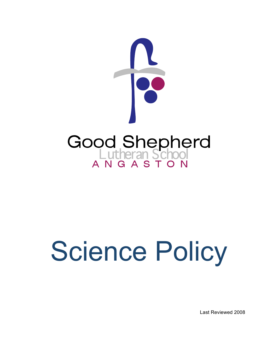

# Science Policy

Last Reviewed 2008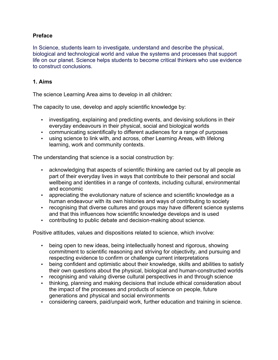## **Preface**

In Science, students learn to investigate, understand and describe the physical, biological and technological world and value the systems and processes that support life on our planet. Science helps students to become critical thinkers who use evidence to construct conclusions.

#### **1. Aims**

The science Learning Area aims to develop in all children:

The capacity to use, develop and apply scientific knowledge by:

- investigating, explaining and predicting events, and devising solutions in their everyday endeavours in their physical, social and biological worlds
- communicating scientifically to different audiences for a range of purposes
- using science to link with, and across, other Learning Areas, with lifelong learning, work and community contexts.

The understanding that science is a social construction by:

- acknowledging that aspects of scientific thinking are carried out by all people as part of their everyday lives in ways that contribute to their personal and social wellbeing and identities in a range of contexts, including cultural, environmental and economic
- appreciating the evolutionary nature of science and scientific knowledge as a human endeavour with its own histories and ways of contributing to society
- recognising that diverse cultures and groups may have different science systems and that this influences how scientific knowledge develops and is used
- contributing to public debate and decision-making about science.

Positive attitudes, values and dispositions related to science, which involve:

- being open to new ideas, being intellectually honest and rigorous, showing commitment to scientific reasoning and striving for objectivity, and pursuing and respecting evidence to confirm or challenge current interpretations
- being confident and optimistic about their knowledge, skills and abilities to satisfy their own questions about the physical, biological and human-constructed worlds
- recognising and valuing diverse cultural perspectives in and through science
- thinking, planning and making decisions that include ethical consideration about the impact of the processes and products of science on people, future generations and physical and social environments
- considering careers, paid/unpaid work, further education and training in science.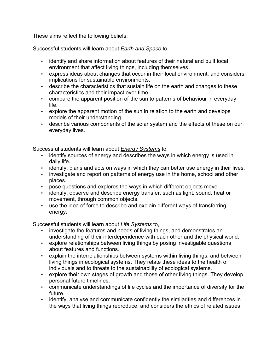These aims reflect the following beliefs:

Successful students will learn about *Earth and Space* to,

- identify and share information about features of their natural and built local environment that affect living things, including themselves.
- express ideas about changes that occur in their local environment, and considers implications for sustainable environments.
- describe the characteristics that sustain life on the earth and changes to these characteristics and their impact over time.
- compare the apparent position of the sun to patterns of behaviour in everyday life.
- explore the apparent motion of the sun in relation to the earth and develops models of their understanding.
- describe various components of the solar system and the effects of these on our everyday lives.

Successful students will learn about *Energy Systems* to,

- identify sources of energy and describes the ways in which energy is used in daily life.
- identify, plans and acts on ways in which they can better use energy in their lives.
- investigate and report on patterns of energy use in the home, school and other places.
- pose questions and explores the ways in which different objects move.
- identify, observe and describe energy transfer, such as light, sound, heat or movement, through common objects.
- use the idea of force to describe and explain different ways of transferring energy.

Successful students will learn about *Life Systems* to,

- investigate the features and needs of living things, and demonstrates an understanding of their interdependence with each other and the physical world.
- explore relationships between living things by posing investigable questions about features and functions.
- explain the interrelationships between systems within living things, and between living things in ecological systems. They relate these ideas to the health of individuals and to threats to the sustainability of ecological systems.
- explore their own stages of growth and those of other living things. They develop personal future timelines.
- communicate understandings of life cycles and the importance of diversity for the future.
- identify, analyse and communicate confidently the similarities and differences in the ways that living things reproduce, and considers the ethics of related issues.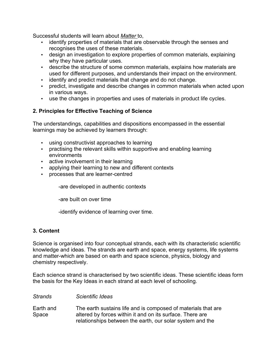Successful students will learn about *Matter* to,

- identify properties of materials that are observable through the senses and recognises the uses of these materials.
- design an investigation to explore properties of common materials, explaining why they have particular uses.
- describe the structure of some common materials, explains how materials are used for different purposes, and understands their impact on the environment.
- identify and predict materials that change and do not change.
- predict, investigate and describe changes in common materials when acted upon in various ways.
- use the changes in properties and uses of materials in product life cycles.

# **2. Principles for Effective Teaching of Science**

The understandings, capabilities and dispositions encompassed in the essential learnings may be achieved by learners through:

- using constructivist approaches to learning
- practising the relevant skills within supportive and enabling learning environments
- active involvement in their learning
- applying their learning to new and different contexts
- processes that are learner-centred

-are developed in authentic contexts

-are built on over time

-identify evidence of learning over time.

# **3. Content**

Science is organised into four conceptual strands, each with its characteristic scientific knowledge and ideas. The strands are earth and space, energy systems, life systems and matter-which are based on earth and space science, physics, biology and chemistry respectively.

Each science strand is characterised by two scientific ideas. These scientific ideas form the basis for the Key Ideas in each strand at each level of schooling.

*Strands Scientific Ideas*

Earth and Space The earth sustains life and is composed of materials that are altered by forces within it and on its surface. There are relationships between the earth, our solar system and the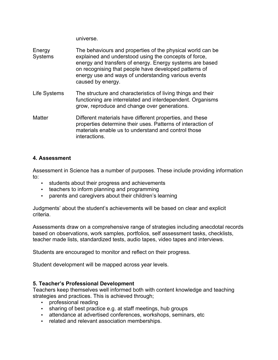universe.

| Energy<br><b>Systems</b> | The behaviours and properties of the physical world can be.<br>explained and understood using the concepts of force,<br>energy and transfers of energy. Energy systems are based<br>on recognising that people have developed patterns of<br>energy use and ways of understanding various events<br>caused by energy. |
|--------------------------|-----------------------------------------------------------------------------------------------------------------------------------------------------------------------------------------------------------------------------------------------------------------------------------------------------------------------|
| Life Systems             | The structure and characteristics of living things and their<br>functioning are interrelated and interdependent. Organisms<br>grow, reproduce and change over generations.                                                                                                                                            |
| <b>Matter</b>            | Different materials have different properties, and these<br>properties determine their uses. Patterns of interaction of<br>materials enable us to understand and control those<br>interactions.                                                                                                                       |

#### **4. Assessment**

Assessment in Science has a number of purposes. These include providing information to:

- students about their progress and achievements
- teachers to inform planning and programming
- parents and caregivers about their children's learning

Judgments' about the student's achievements will be based on clear and explicit criteria.

Assessments draw on a comprehensive range of strategies including anecdotal records based on observations, work samples, portfolios, self assessment tasks, checklists, teacher made lists, standardized tests, audio tapes, video tapes and interviews.

Students are encouraged to monitor and reflect on their progress.

Student development will be mapped across year levels.

# **5. Teacher's Professional Development**

Teachers keep themselves well informed both with content knowledge and teaching strategies and practices. This is achieved through;

- professional reading
- sharing of best practice e.g. at staff meetings, hub groups
- attendance at advertised conferences, workshops, seminars, etc
- related and relevant association memberships.